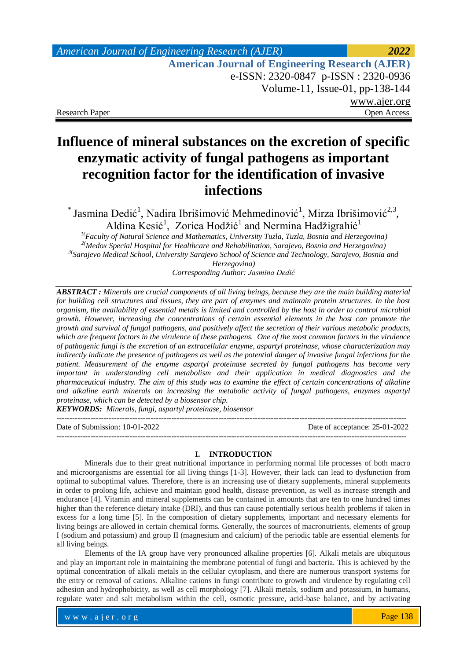## *American Journal of Engineering Research (AJER) 2022*  **American Journal of Engineering Research (AJER)** e-ISSN: 2320-0847 p-ISSN : 2320-0936 Volume-11, Issue-01, pp-138-144 www.ajer.org Research Paper **Open Access** Open Access **Open Access**

# **Influence of mineral substances on the excretion of specific enzymatic activity of fungal pathogens as important recognition factor for the identification of invasive infections**

 $^*$  Jasmina Dedić<sup>1</sup>, Nadira Ibrišimović Mehmedinović<sup>1</sup>, Mirza Ibrišimović<sup>2,3</sup>, Aldina Kesić<sup>1</sup>, Zorica Hodžić<sup>1</sup> and Nermina Hadžigrahić<sup>1</sup>

*1(Faculty of Natural Science and Mathematics, University Tuzla, Tuzla, Bosnia and Herzegovina) 2(Medox Special Hospital for Healthcare and Rehabilitation, Sarajevo, Bosnia and Herzegovina) 3( Sarajevo Medical School, University Sarajevo School of Science and Technology, Sarajevo, Bosnia and Herzegovina)*

*Corresponding Author: Jasmina Dedić*

*ABSTRACT : Minerals are crucial components of all living beings, because they are the main building material for building cell structures and tissues, they are part of enzymes and maintain protein structures. In the host organism, the availability of essential metals is limited and controlled by the host in order to control microbial growth. However, increasing the concentrations of certain essential elements in the host can promote the growth and survival of fungal pathogens, and positively affect the secretion of their various metabolic products, which are frequent factors in the virulence of these pathogens. One of the most common factors in the virulence of pathogenic fungi is the excretion of an extracellular enzyme, aspartyl proteinase, whose characterization may indirectly indicate the presence of pathogens as well as the potential danger of invasive fungal infections for the patient. Measurement of the enzyme aspartyl proteinase secreted by fungal pathogens has become very important in understanding cell metabolism and their application in medical diagnostics and the pharmaceutical industry. The aim of this study was to examine the effect of certain concentrations of alkaline and alkaline earth minerals on increasing the metabolic activity of fungal pathogens, enzymes aspartyl proteinase, which can be detected by a biosensor chip.*

*KEYWORDS: Minerals, fungi, aspartyl proteinase, biosensor* 

-------------------------------------------------------------------------------------------------------------------------------------- Date of Submission: 10-01-2022 Date of acceptance: 25-01-2022

--------------------------------------------------------------------------------------------------------------------------------------

#### **I. INTRODUCTION**

Minerals due to their great nutritional importance in performing normal life processes of both macro and microorganisms are essential for all living things [1-3]. However, their lack can lead to dysfunction from optimal to suboptimal values. Therefore, there is an increasing use of dietary supplements, mineral supplements in order to prolong life, achieve and maintain good health, disease prevention, as well as increase strength and endurance [4]. Vitamin and mineral supplements can be contained in amounts that are ten to one hundred times higher than the reference dietary intake (DRI), and thus can cause potentially serious health problems if taken in excess for a long time [5]. In the composition of dietary supplements, important and necessary elements for living beings are allowed in certain chemical forms. Generally, the sources of macronutrients, elements of group I (sodium and potassium) and group II (magnesium and calcium) of the periodic table are essential elements for all living beings.

Elements of the IA group have very pronounced alkaline properties [6]. Alkali metals are ubiquitous and play an important role in maintaining the membrane potential of fungi and bacteria. This is achieved by the optimal concentration of alkali metals in the cellular cytoplasm, and there are numerous transport systems for the entry or removal of cations. Alkaline cations in fungi contribute to growth and virulence by regulating cell adhesion and hydrophobicity, as well as cell morphology [7]. Alkali metals, sodium and potassium, in humans, regulate water and salt metabolism within the cell, osmotic pressure, acid-base balance, and by activating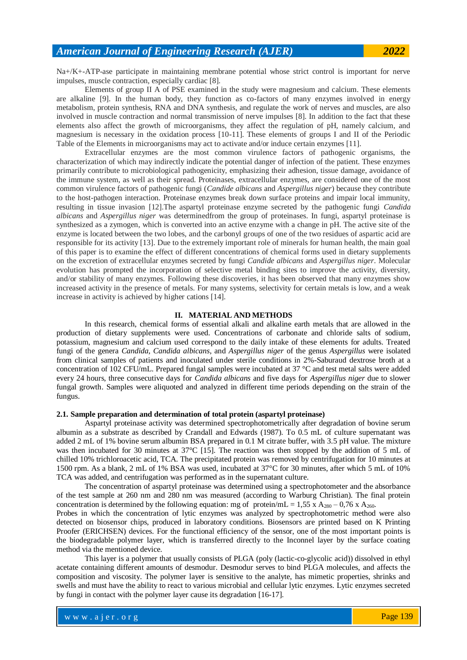Na+/K+-ATP-ase participate in maintaining membrane potential whose strict control is important for nerve impulses, muscle contraction, especially cardiac [8].

Elements of group II A of PSE examined in the study were magnesium and calcium. These elements are alkaline [9]. In the human body, they function as co-factors of many enzymes involved in energy metabolism, protein synthesis, RNA and DNA synthesis, and regulate the work of nerves and muscles, are also involved in muscle contraction and normal transmission of nerve impulses [8]. In addition to the fact that these elements also affect the growth of microorganisms, they affect the regulation of pH, namely calcium, and magnesium is necessary in the oxidation process [10-11]. These elements of groups I and II of the Periodic Table of the Elements in microorganisms may act to activate and/or induce certain enzymes [11].

Extracellular enzymes are the most common virulence factors of pathogenic organisms, the characterization of which may indirectly indicate the potential danger of infection of the patient. These enzymes primarily contribute to microbiological pathogenicity, emphasizing their adhesion, tissue damage, avoidance of the immune system, as well as their spread. Proteinases, extracellular enzymes, are considered one of the most common virulence factors of pathogenic fungi (*Candide albicans* and *Aspergillus niger*) because they contribute to the host-pathogen interaction. Proteinase enzymes break down surface proteins and impair local immunity, resulting in tissue invasion [12].The aspartyl proteinase enzyme secreted by the pathogenic fungi *Candida albicans* and *Aspergillus niger* was determinedfrom the group of proteinases. In fungi, aspartyl proteinase is synthesized as a zymogen, which is converted into an active enzyme with a change in pH. The active site of the enzyme is located between the two lobes, and the carbonyl groups of one of the two residues of aspartic acid are responsible for its activity [13]. Due to the extremely important role of minerals for human health, the main goal of this paper is to examine the effect of different concentrations of chemical forms used in dietary supplements on the excretion of extracellular enzymes secreted by fungi *Candide albicans* and *Aspergillus niger*. Molecular evolution has prompted the incorporation of selective metal binding sites to improve the activity, diversity, and/or stability of many enzymes. Following these discoveries, it has been observed that many enzymes show increased activity in the presence of metals. For many systems, selectivity for certain metals is low, and a weak increase in activity is achieved by higher cations [14].

### **II. MATERIAL AND METHODS**

In this research, chemical forms of essential alkali and alkaline earth metals that are allowed in the production of dietary supplements were used. Concentrations of carbonate and chloride salts of sodium, potassium, magnesium and calcium used correspond to the daily intake of these elements for adults. Treated fungi of the genera *Candida*, *Candida albicans*, and *Aspergillus niger* of the genus *Aspergillus* were isolated from clinical samples of patients and inoculated under sterile conditions in 2%-Saburaud dextrose broth at a concentration of 102 CFU/mL. Prepared fungal samples were incubated at 37 °C and test metal salts were added every 24 hours, three consecutive days for *Candida albicans* and five days for *Aspergillus niger* due to slower fungal growth. Samples were aliquoted and analyzed in different time periods depending on the strain of the fungus.

### **2.1. Sample preparation and determination of total protein (aspartyl proteinase)**

Aspartyl proteinase activity was determined spectrophotometrically after degradation of bovine serum albumin as a substrate as described by Crandall and Edwards (1987). To 0.5 mL of culture supernatant was added 2 mL of 1% bovine serum albumin BSA prepared in 0.1 M citrate buffer, with 3.5 pH value. The mixture was then incubated for 30 minutes at 37°C [15]. The reaction was then stopped by the addition of 5 mL of chilled 10% trichloroacetic acid, TCA. The precipitated protein was removed by centrifugation for 10 minutes at 1500 rpm. As a blank, 2 mL of 1% BSA was used, incubated at 37°C for 30 minutes, after which 5 mL of 10% TCA was added, and centrifugation was performed as in the supernatant culture.

The concentration of aspartyl proteinase was determined using a spectrophotometer and the absorbance of the test sample at 260 nm and 280 nm was measured (according to Warburg Christian). The final protein concentration is determined by the following equation: mg of protein/mL = 1,55 x A<sub>280</sub> – 0,76 x A<sub>260</sub>.

Probes in which the concentration of lytic enzymes was analyzed by spectrophotometric method were also detected on biosensor chips, produced in laboratory conditions. Biosensors are printed based on K Printing Proofer (ERICHSEN) devices. For the functional efficiency of the sensor, one of the most important points is the biodegradable polymer layer, which is transferred directly to the Inconnel layer by the surface coating method via the mentioned device.

This layer is a polymer that usually consists of PLGA (poly (lactic-co-glycolic acid)) dissolved in ethyl acetate containing different amounts of desmodur. Desmodur serves to bind PLGA molecules, and affects the composition and viscosity. The polymer layer is sensitive to the analyte, has mimetic properties, shrinks and swells and must have the ability to react to various microbial and cellular lytic enzymes. Lytic enzymes secreted by fungi in contact with the polymer layer cause its degradation [16-17].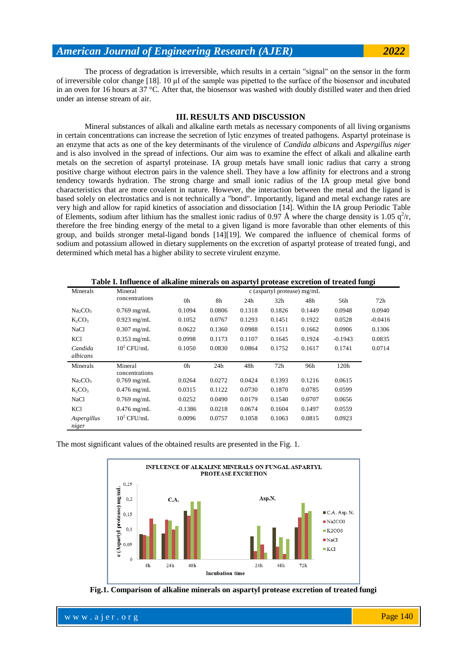### *American Journal of Engineering Research (AJER) 2022*

The process of degradation is irreversible, which results in a certain "signal" on the sensor in the form of irreversible color change [18]. 10 μl of the sample was pipetted to the surface of the biosensor and incubated in an oven for 16 hours at 37 °C. After that, the biosensor was washed with doubly distilled water and then dried under an intense stream of air.

### **III. RESULTS AND DISCUSSION**

Mineral substances of alkali and alkaline earth metals as necessary components of all living organisms in certain concentrations can increase the secretion of lytic enzymes of treated pathogens. Aspartyl proteinase is an enzyme that acts as one of the key determinants of the virulence of *Candida albicans* and *Aspergillus niger* and is also involved in the spread of infections. Our aim was to examine the effect of alkali and alkaline earth metals on the secretion of aspartyl proteinase. IA group metals have small ionic radius that carry a strong positive charge without electron pairs in the valence shell. They have a low affinity for electrons and a strong tendency towards hydration. The strong charge and small ionic radius of the IA group metal give bond characteristics that are more covalent in nature. However, the interaction between the metal and the ligand is based solely on electrostatics and is not technically a "bond". Importantly, ligand and metal exchange rates are very high and allow for rapid kinetics of association and dissociation [14]. Within the IA group Periodic Table of Elements, sodium after lithium has the smallest ionic radius of 0.97 Å where the charge density is 1.05  $q^2/r$ , therefore the free binding energy of the metal to a given ligand is more favorable than other elements of this group, and builds stronger metal-ligand bonds [14][19]. We compared the influence of chemical forms of sodium and potassium allowed in dietary supplements on the excretion of aspartyl protease of treated fungi, and determined which metal has a higher ability to secrete virulent enzyme.

| Table I. Influence of alkaline minerals on aspartyl protease excretion of treated fungi |                           |                               |        |        |                 |        |           |           |  |  |  |  |
|-----------------------------------------------------------------------------------------|---------------------------|-------------------------------|--------|--------|-----------------|--------|-----------|-----------|--|--|--|--|
| Minerals                                                                                | Mineral<br>concentrations | c (aspartyl protease) $mg/mL$ |        |        |                 |        |           |           |  |  |  |  |
|                                                                                         |                           | 0h                            | 8h     | 24h    | 32 <sub>h</sub> | 48h    | 56h       | 72h       |  |  |  |  |
| Na <sub>2</sub> CO <sub>3</sub>                                                         | $0.769$ mg/mL             | 0.1094                        | 0.0806 | 0.1318 | 0.1826          | 0.1449 | 0.0948    | 0.0940    |  |  |  |  |
| $K_2CO_3$                                                                               | $0.923$ mg/mL             | 0.1052                        | 0.0767 | 0.1293 | 0.1451          | 0.1922 | 0.0528    | $-0.0416$ |  |  |  |  |
| <b>NaCl</b>                                                                             | $0.307$ mg/mL             | 0.0622                        | 0.1360 | 0.0988 | 0.1511          | 0.1662 | 0.0906    | 0.1306    |  |  |  |  |
| <b>KCl</b>                                                                              | $0.353$ mg/mL             | 0.0998                        | 0.1173 | 0.1107 | 0.1645          | 0.1924 | $-0.1943$ | 0.0835    |  |  |  |  |
| Candida                                                                                 | $10^2$ CFU/mL             | 0.1050                        | 0.0830 | 0.0864 | 0.1752          | 0.1617 | 0.1741    | 0.0714    |  |  |  |  |
| albicans                                                                                |                           |                               |        |        |                 |        |           |           |  |  |  |  |
| Minerals                                                                                | Mineral                   | 0h                            | 24h    | 48h    | 72h             | 96h    | 120h      |           |  |  |  |  |
|                                                                                         | concentrations            |                               |        |        |                 |        |           |           |  |  |  |  |
| Na <sub>2</sub> CO <sub>3</sub>                                                         | $0.769$ mg/mL             | 0.0264                        | 0.0272 | 0.0424 | 0.1393          | 0.1216 | 0.0615    |           |  |  |  |  |
| $K_2CO_3$                                                                               | $0.476$ mg/mL             | 0.0315                        | 0.1122 | 0.0730 | 0.1870          | 0.0785 | 0.0599    |           |  |  |  |  |
| <b>NaCl</b>                                                                             | $0.769$ mg/mL             | 0.0252                        | 0.0490 | 0.0179 | 0.1540          | 0.0707 | 0.0656    |           |  |  |  |  |
| KCl                                                                                     | $0.476$ mg/mL             | $-0.1386$                     | 0.0218 | 0.0674 | 0.1604          | 0.1497 | 0.0559    |           |  |  |  |  |
| Aspergillus<br>niger                                                                    | $10^2$ CFU/mL             | 0.0096                        | 0.0757 | 0.1058 | 0.1063          | 0.0815 | 0.0923    |           |  |  |  |  |

The most significant values of the obtained results are presented in the Fig. 1.



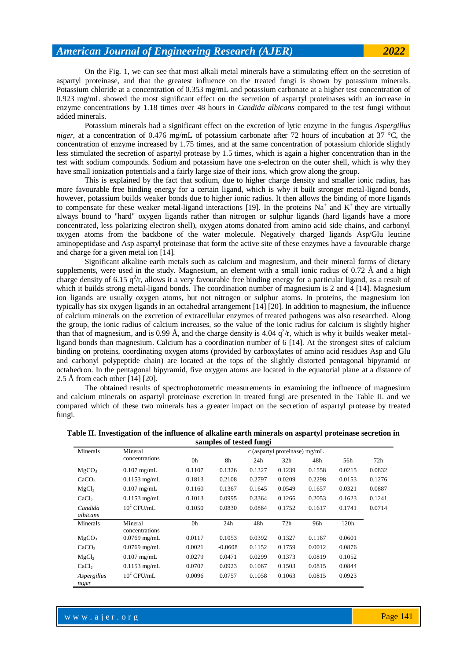On the Fig. 1, we can see that most alkali metal minerals have a stimulating effect on the secretion of aspartyl proteinase, and that the greatest influence on the treated fungi is shown by potassium minerals. Potassium chloride at a concentration of 0.353 mg/mL and potassium carbonate at a higher test concentration of 0.923 mg/mL showed the most significant effect on the secretion of aspartyl proteinases with an increase in enzyme concentrations by 1.18 times over 48 hours in *Candida albicans* compared to the test fungi without added minerals.

 Potassium minerals had a significant effect on the excretion of lytic enzyme in the fungus *Aspergillus niger*, at a concentration of 0.476 mg/mL of potassium carbonate after 72 hours of incubation at 37 °C, the concentration of enzyme increased by 1.75 times, and at the same concentration of potassium chloride slightly less stimulated the secretion of aspartyl protease by 1.5 times, which is again a higher concentration than in the test with sodium compounds. Sodium and potassium have one s-electron on the outer shell, which is why they have small ionization potentials and a fairly large size of their ions, which grow along the group.

 This is explained by the fact that sodium, due to higher charge density and smaller ionic radius, has more favourable free binding energy for a certain ligand, which is why it built stronger metal-ligand bonds, however, potassium builds weaker bonds due to higher ionic radius. It then allows the binding of more ligands to compensate for these weaker metal-ligand interactions [19]. In the proteins  $Na^+$  and  $K^+$  they are virtually always bound to "hard" oxygen ligands rather than nitrogen or sulphur ligands (hard ligands have a more concentrated, less polarizing electron shell), oxygen atoms donated from amino acid side chains, and carbonyl oxygen atoms from the backbone of the water molecule. Negatively charged ligands Asp/Glu leucine aminopeptidase and Asp aspartyl proteinase that form the active site of these enzymes have a favourable charge and charge for a given metal ion [14].

 Significant alkaline earth metals such as calcium and magnesium, and their mineral forms of dietary supplements, were used in the study. Magnesium, an element with a small ionic radius of 0.72  $\AA$  and a high charge density of 6.15  $q^2/r$ , allows it a very favourable free binding energy for a particular ligand, as a result of which it builds strong metal-ligand bonds. The coordination number of magnesium is 2 and 4 [14]. Magnesium ion ligands are usually oxygen atoms, but not nitrogen or sulphur atoms. In proteins, the magnesium ion typically has six oxygen ligands in an octahedral arrangement [14] [20]. In addition to magnesium, the influence of calcium minerals on the excretion of extracellular enzymes of treated pathogens was also researched. Along the group, the ionic radius of calcium increases, so the value of the ionic radius for calcium is slightly higher than that of magnesium, and is 0.99 Å, and the charge density is 4.04  $q^2/r$ , which is why it builds weaker metalligand bonds than magnesium. Calcium has a coordination number of 6 [14]. At the strongest sites of calcium binding on proteins, coordinating oxygen atoms (provided by carboxylates of amino acid residues Asp and Glu and carbonyl polypeptide chain) are located at the tops of the slightly distorted pentagonal bipyramid or octahedron. In the pentagonal bipyramid, five oxygen atoms are located in the equatorial plane at a distance of 2.5 Å from each other [14] [20].

 The obtained results of spectrophotometric measurements in examining the influence of magnesium and calcium minerals on aspartyl proteinase excretion in treated fungi are presented in the Table II. and we compared which of these two minerals has a greater impact on the secretion of aspartyl protease by treated fungi.

| samples of tested fungi |                           |                               |           |        |                 |        |        |        |  |  |  |  |  |
|-------------------------|---------------------------|-------------------------------|-----------|--------|-----------------|--------|--------|--------|--|--|--|--|--|
| Minerals                | Mineral                   | c (aspartyl proteinase) mg/mL |           |        |                 |        |        |        |  |  |  |  |  |
|                         | concentrations            | 0h                            | 8h        | 24h    | 32 <sub>h</sub> | 48h    | 56h    | 72h    |  |  |  |  |  |
| MgCO <sub>3</sub>       | $0.107$ mg/mL             | 0.1107                        | 0.1326    | 0.1327 | 0.1239          | 0.1558 | 0.0215 | 0.0832 |  |  |  |  |  |
| CaCO <sub>3</sub>       | $0.1153$ mg/mL            | 0.1813                        | 0.2108    | 0.2797 | 0.0209          | 0.2298 | 0.0153 | 0.1276 |  |  |  |  |  |
| MgCl <sub>2</sub>       | $0.107$ mg/mL             | 0.1160                        | 0.1367    | 0.1645 | 0.0549          | 0.1657 | 0.0321 | 0.0887 |  |  |  |  |  |
| CaCl <sub>2</sub>       | $0.1153$ mg/mL            | 0.1013                        | 0.0995    | 0.3364 | 0.1266          | 0.2053 | 0.1623 | 0.1241 |  |  |  |  |  |
| Candida<br>albicans     | $10^2$ CFU/mL             | 0.1050                        | 0.0830    | 0.0864 | 0.1752          | 0.1617 | 0.1741 | 0.0714 |  |  |  |  |  |
| Minerals                | Mineral<br>concentrations | 0h                            | 24h       | 48h    | 72h             | 96h    | 120h   |        |  |  |  |  |  |
| MgCO <sub>3</sub>       | $0.0769$ mg/mL            | 0.0117                        | 0.1053    | 0.0392 | 0.1327          | 0.1167 | 0.0601 |        |  |  |  |  |  |
| CaCO <sub>3</sub>       | $0.0769$ mg/mL            | 0.0021                        | $-0.0608$ | 0.1152 | 0.1759          | 0.0012 | 0.0876 |        |  |  |  |  |  |
| MgCl <sub>2</sub>       | $0.107$ mg/mL             | 0.0279                        | 0.0471    | 0.0299 | 0.1373          | 0.0819 | 0.1052 |        |  |  |  |  |  |
| CaCl <sub>2</sub>       | $0.1153$ mg/mL            | 0.0707                        | 0.0923    | 0.1067 | 0.1503          | 0.0815 | 0.0844 |        |  |  |  |  |  |
| Aspergillus<br>niger    | $10^2$ CFU/mL             | 0.0096                        | 0.0757    | 0.1058 | 0.1063          | 0.0815 | 0.0923 |        |  |  |  |  |  |

**Table II. Investigation of the influence of alkaline earth minerals on aspartyl proteinase secretion in samples of tested fungi**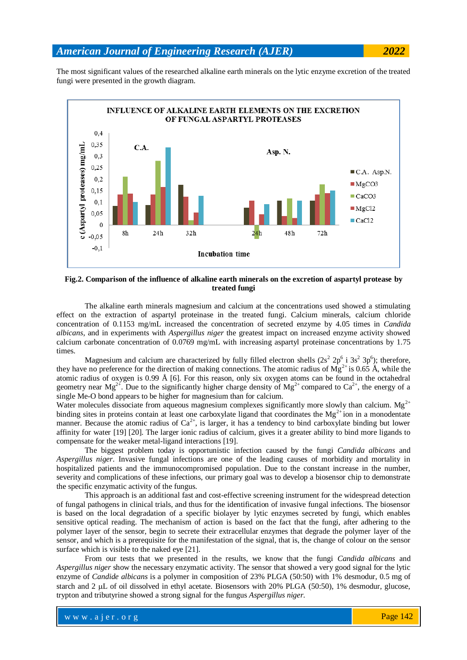The most significant values of the researched alkaline earth minerals on the lytic enzyme excretion of the treated fungi were presented in the growth diagram.



**Fig.2. Comparison of the influence of alkaline earth minerals on the excretion of aspartyl protease by treated fungi**

The alkaline earth minerals magnesium and calcium at the concentrations used showed a stimulating effect on the extraction of aspartyl proteinase in the treated fungi. Calcium minerals, calcium chloride concentration of 0.1153 mg/mL increased the concentration of secreted enzyme by 4.05 times in *Candida albicans*, and in experiments with *Aspergillus niger* the greatest impact on increased enzyme activity showed calcium carbonate concentration of 0.0769 mg/mL with increasing aspartyl proteinase concentrations by 1.75 times.

Magnesium and calcium are characterized by fully filled electron shells  $(2s^2 2p^6 i 3s^2 3p^6)$ ; therefore, they have no preference for the direction of making connections. The atomic radius of  $Mg^{2+}$  is 0.65 Å, while the atomic radius of oxygen is 0.99 Å [6]. For this reason, only six oxygen atoms can be found in the octahedral geometry near  $Mg^{2+}$ . Due to the significantly higher charge density of  $Mg^{2+}$  compared to  $Ca^{2+}$ , the energy of a single Me-O bond appears to be higher for magnesium than for calcium.

Water molecules dissociate from aqueous magnesium complexes significantly more slowly than calcium.  $Mg^{2+}$ binding sites in proteins contain at least one carboxylate ligand that coordinates the  $Mg^{2+}$  ion in a monodentate manner. Because the atomic radius of  $Ca^{2+}$ , is larger, it has a tendency to bind carboxylate binding but lower affinity for water [19] [20]. The larger ionic radius of calcium, gives it a greater ability to bind more ligands to compensate for the weaker metal-ligand interactions [19].

The biggest problem today is opportunistic infection caused by the fungi *Candida albicans* and *Aspergillus niger*. Invasive fungal infections are one of the leading causes of morbidity and mortality in hospitalized patients and the immunocompromised population. Due to the constant increase in the number, severity and complications of these infections, our primary goal was to develop a biosensor chip to demonstrate the specific enzymatic activity of the fungus.

This approach is an additional fast and cost-effective screening instrument for the widespread detection of fungal pathogens in clinical trials, and thus for the identification of invasive fungal infections. The biosensor is based on the local degradation of a specific biolayer by lytic enzymes secreted by fungi, which enables sensitive optical reading. The mechanism of action is based on the fact that the fungi, after adhering to the polymer layer of the sensor, begin to secrete their extracellular enzymes that degrade the polymer layer of the sensor, and which is a prerequisite for the manifestation of the signal, that is, the change of colour on the sensor surface which is visible to the naked eye [21].

From our tests that we presented in the results, we know that the fungi *Candida albicans* and *Aspergillus niger* show the necessary enzymatic activity. The sensor that showed a very good signal for the lytic enzyme of *Candide albicans* is a polymer in composition of 23% PLGA (50:50) with 1% desmodur, 0.5 mg of starch and 2  $\mu$ L of oil dissolved in ethyl acetate. Biosensors with 20% PLGA (50:50), 1% desmodur, glucose, trypton and tributyrine showed a strong signal for the fungus *Aspergillus niger.*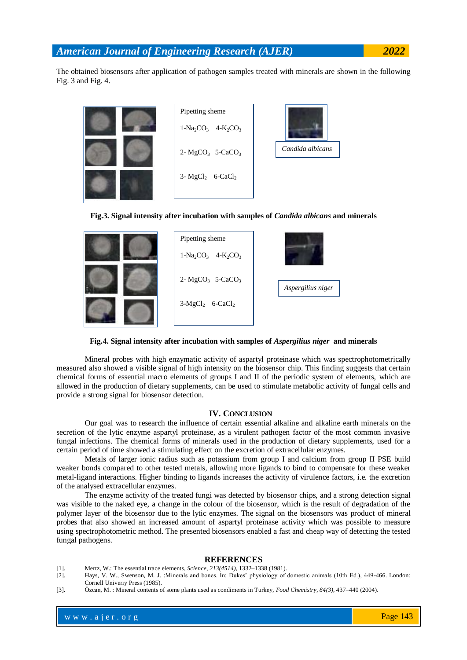The obtained biosensors after application of pathogen samples treated with minerals are shown in the following Fig. 3 and Fig. 4.







**Fig.4. Signal intensity after incubation with samples of** *Aspergilius niger* **and minerals**

Mineral probes with high enzymatic activity of aspartyl proteinase which was spectrophotometrically measured also showed a visible signal of high intensity on the biosensor chip. This finding suggests that certain chemical forms of essential macro elements of groups I and II of the periodic system of elements, which are allowed in the production of dietary supplements, can be used to stimulate metabolic activity of fungal cells and provide a strong signal for biosensor detection.

### **IV. CONCLUSION**

Our goal was to research the influence of certain essential alkaline and alkaline earth minerals on the secretion of the lytic enzyme aspartyl proteinase, as a virulent pathogen factor of the most common invasive fungal infections. The chemical forms of minerals used in the production of dietary supplements, used for a certain period of time showed a stimulating effect on the excretion of extracellular enzymes.

Metals of larger ionic radius such as potassium from group I and calcium from group II PSE build weaker bonds compared to other tested metals, allowing more ligands to bind to compensate for these weaker metal-ligand interactions. Higher binding to ligands increases the activity of virulence factors, i.e. the excretion of the analysed extracellular enzymes.

The enzyme activity of the treated fungi was detected by biosensor chips, and a strong detection signal was visible to the naked eye, a change in the colour of the biosensor, which is the result of degradation of the polymer layer of the biosensor due to the lytic enzymes. The signal on the biosensors was product of mineral probes that also showed an increased amount of aspartyl proteinase activity which was possible to measure using spectrophotometric method. The presented biosensors enabled a fast and cheap way of detecting the tested fungal pathogens.

#### **REFERENCES**

- [1]. Mertz, W.: The essential trace elements, *Science*, *213(4514)*, 1332–1338 (1981).
- [2]. Hays, V. W., Swenson, M. J. :Minerals and bones. In: Dukes' physiology of domestic animals (10th Ed.), 449-466. London: Cornell Univeriy Press (1985).
- [3]. Özcan, M. : Mineral contents of some plants used as condiments in Turkey, *Food Chemistry*, *84(3)*, 437–440 (2004).